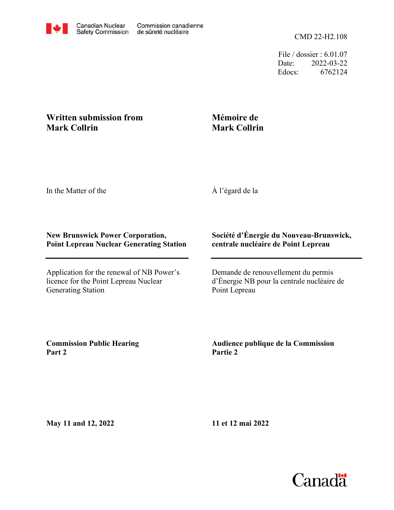

File / dossier : 6.01.07 Date: 2022-03-22 Edocs: 6762124

## **Written submission from Mark Collrin**

## **Mémoire de Mark Collrin**

In the Matter of the

À l'égard de la

## **New Brunswick Power Corporation, Point Lepreau Nuclear Generating Station**

Application for the renewal of NB Power's licence for the Point Lepreau Nuclear Generating Station

## **Société d'Énergie du Nouveau-Brunswick, centrale nucléaire de Point Lepreau**

Demande de renouvellement du permis d'Énergie NB pour la centrale nucléaire de Point Lepreau

**Commission Public Hearing Part 2**

**Audience publique de la Commission Partie 2**

**May 11 and 12, 2022**

**11 et 12 mai 2022**

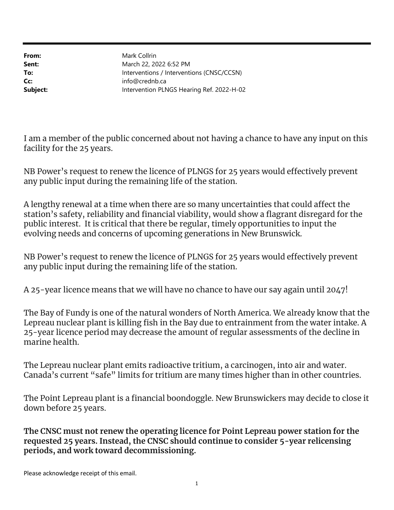From: Sent: To: Cc: Subject: Intervention PLNGS Hearing Ref. 2022-H-02 info@crednb.ca Interventions / Interventions (CNSC/CCSN) March 22, 2022 6:52 PM Mark Collrin

I am a member of the public concerned about not having a chance to have any input on this facility for the 25 years.

NB Power's request to renew the licence of PLNGS for 25 years would effectively prevent any public input during the remaining life of the station.

A lengthy renewal at a time when there are so many uncertainties that could affect the station's safety, reliability and financial viability, would show a flagrant disregard for the public interest. It is critical that there be regular, timely opportunities to input the evolving needs and concerns of upcoming generations in New Brunswick.

NB Power's request to renew the licence of PLNGS for 25 years would effectively prevent any public input during the remaining life of the station.

A 25-year licence means that we will have no chance to have our say again until 2047!

The Bay of Fundy is one of the natural wonders of North America. We already know that the Lepreau nuclear plant is killing fish in the Bay due to entrainment from the water intake. A 25-year licence period may decrease the amount of regular assessments of the decline in marine health.

The Lepreau nuclear plant emits radioactive tritium, a carcinogen, into air and water. Canada's current "safe" limits for tritium are many times higher than in other countries.

The Point Lepreau plant is a financial boondoggle. New Brunswickers may decide to close it down before 25 years.

The CNSC must not renew the operating licence for Point Lepreau power station for the requested 25 years. Instead, the CNSC should continue to consider 5-year relicensing periods, and work toward decommissioning.

Please acknowledge receipt of this email.